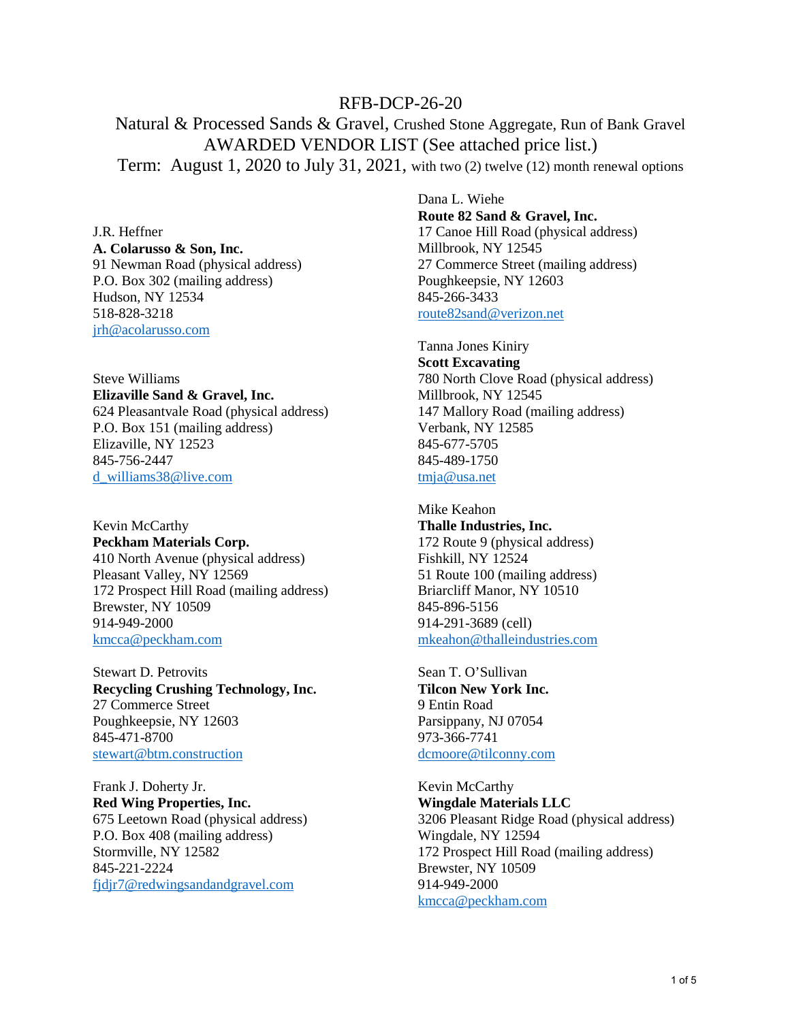## RFB-DCP-26-20

Natural & Processed Sands & Gravel, Crushed Stone Aggregate, Run of Bank Gravel AWARDED VENDOR LIST (See attached price list.) Term: August 1, 2020 to July 31, 2021, with two (2) twelve (12) month renewal options

J.R. Heffner **A. Colarusso & Son, Inc.**  91 Newman Road (physical address) P.O. Box 302 (mailing address) Hudson, NY 12534 518-828-3218 [jrh@acolarusso.com](mailto:jrh@acolarusso.com) 

Steve Williams **Elizaville Sand & Gravel, Inc.**  624 Pleasantvale Road (physical address) P.O. Box 151 (mailing address) Elizaville, NY 12523 845-756-2447 [d\\_williams38@live.com](mailto:d_williams38@live.com)

Kevin McCarthy **Peckham Materials Corp.** 410 North Avenue (physical address) Pleasant Valley, NY 12569 172 Prospect Hill Road (mailing address) Brewster, NY 10509 914-949-2000 [kmcca@peckham.com](mailto:kmcca@peckham.com) 

Stewart D. Petrovits **Recycling Crushing Technology, Inc.** 27 Commerce Street Poughkeepsie, NY 12603 845-471-8700 [stewart@btm.construction](mailto:stewart@btm.construction)

Frank J. Doherty Jr. **Red Wing Properties, Inc.** 675 Leetown Road (physical address) P.O. Box 408 (mailing address) Stormville, NY 12582 845-221-2224 [fjdjr7@redwingsandandgravel.com](mailto:fjdjr7@redwingsandandgravel.com) 

Dana L. Wiehe **Route 82 Sand & Gravel, Inc.**  17 Canoe Hill Road (physical address) Millbrook, NY 12545 27 Commerce Street (mailing address) Poughkeepsie, NY 12603 845-266-3433 [route82sand@verizon.net](mailto:route82sand@verizon.net) 

Tanna Jones Kiniry **Scott Excavating**  780 North Clove Road (physical address) Millbrook, NY 12545 147 Mallory Road (mailing address) Verbank, NY 12585 845-677-5705 845-489-1750 [tmja@usa.net](mailto:tmja@usa.net)

Mike Keahon **Thalle Industries, Inc.** 172 Route 9 (physical address) Fishkill, NY 12524 51 Route 100 (mailing address) Briarcliff Manor, NY 10510 845-896-5156 914-291-3689 (cell) [mkeahon@thalleindustries.com](mailto:mkeahon@thalleindustries.com) 

Sean T. O'Sullivan **Tilcon New York Inc.** 9 Entin Road Parsippany, NJ 07054 973-366-7741 [dcmoore@tilconny.com](mailto:dcmoore@tilconny.com) 

Kevin McCarthy **Wingdale Materials LLC** 3206 Pleasant Ridge Road (physical address) Wingdale, NY 12594 172 Prospect Hill Road (mailing address) Brewster, NY 10509 914-949-2000 [kmcca@peckham.com](mailto:kmcca@peckham.com)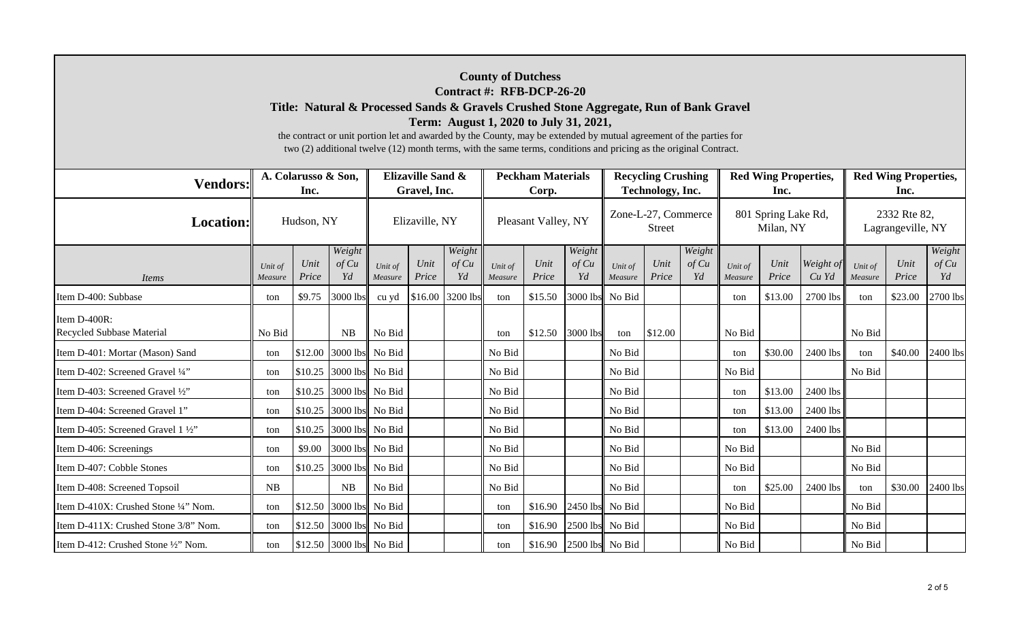|                                           |                             |               |                         |                                                                                                                                                                                                                                                                                                                                   |                |                       |                                   | <b>County of Dutchess</b><br>Contract #: RFB-DCP-26-20 |                         |                                               |               |                       |                    |                                     |                      |                                     |               |                       |  |
|-------------------------------------------|-----------------------------|---------------|-------------------------|-----------------------------------------------------------------------------------------------------------------------------------------------------------------------------------------------------------------------------------------------------------------------------------------------------------------------------------|----------------|-----------------------|-----------------------------------|--------------------------------------------------------|-------------------------|-----------------------------------------------|---------------|-----------------------|--------------------|-------------------------------------|----------------------|-------------------------------------|---------------|-----------------------|--|
|                                           |                             |               |                         | Title: Natural & Processed Sands & Gravels Crushed Stone Aggregate, Run of Bank Gravel<br>the contract or unit portion let and awarded by the County, may be extended by mutual agreement of the parties for<br>two (2) additional twelve (12) month terms, with the same terms, conditions and pricing as the original Contract. |                |                       |                                   | Term: August 1, 2020 to July 31, 2021,                 |                         |                                               |               |                       |                    |                                     |                      |                                     |               |                       |  |
| <b>Vendors:</b>                           | A. Colarusso & Son,<br>Inc. |               |                         | Elizaville Sand &<br>Gravel, Inc.                                                                                                                                                                                                                                                                                                 |                |                       | <b>Peckham Materials</b><br>Corp. |                                                        |                         | <b>Recycling Crushing</b><br>Technology, Inc. |               |                       |                    | <b>Red Wing Properties,</b><br>Inc. |                      | <b>Red Wing Properties,</b><br>Inc. |               |                       |  |
| <b>Location:</b>                          | Hudson, NY                  |               |                         |                                                                                                                                                                                                                                                                                                                                   | Elizaville, NY |                       |                                   | Pleasant Valley, NY                                    |                         | Zone-L-27, Commerce<br><b>Street</b>          |               |                       |                    | 801 Spring Lake Rd,<br>Milan, NY    |                      | 2332 Rte 82,<br>Lagrangeville, NY   |               |                       |  |
| Items                                     | Unit of<br>Measure          | Unit<br>Price | Weight<br>of Cu<br>Yd   | Unit of<br>Measure                                                                                                                                                                                                                                                                                                                | Unit<br>Price  | Weight<br>of Cu<br>Yd | Unit of<br>Measure                | Unit<br>Price                                          | Weight<br>of Cu<br>Yd   | Unit of<br>Measure                            | Unit<br>Price | Weight<br>of Cu<br>Yd | Unit of<br>Measure | Unit<br>Price                       | Weight of<br>$Cu$ Yd | Unit of<br>Measure                  | Unit<br>Price | Weight<br>of Cu<br>Yd |  |
| Item D-400: Subbase                       | ton                         | \$9.75        | 3000 lbs                | cu yd                                                                                                                                                                                                                                                                                                                             |                | \$16.00 3200 lbs      | ton                               | \$15.50                                                |                         | 3000 lbs No Bid                               |               |                       | ton                | \$13.00                             | 2700 lbs             | ton                                 | \$23.00       | 2700 lbs              |  |
| Item D-400R:<br>Recycled Subbase Material | No Bid                      |               | <b>NB</b>               | No Bid                                                                                                                                                                                                                                                                                                                            |                |                       | ton                               |                                                        | $$12.50$ 3000 lbs       | ton                                           | \$12.00       |                       | No Bid             |                                     |                      | No Bid                              |               |                       |  |
| Item D-401: Mortar (Mason) Sand           | ton                         | \$12.00       | 3000 lbs                | No Bid                                                                                                                                                                                                                                                                                                                            |                |                       | No Bid                            |                                                        |                         | No Bid                                        |               |                       | ton                | \$30.00                             | 2400 lbs             | ton                                 | \$40.00       | 2400 lbs              |  |
| Item D-402: Screened Gravel 1/4"          | ton                         | \$10.25       | 3000 lbs                | No Bid                                                                                                                                                                                                                                                                                                                            |                |                       | No Bid                            |                                                        |                         | No Bid                                        |               |                       | No Bid             |                                     |                      | No Bid                              |               |                       |  |
| Item D-403: Screened Gravel 1/2"          | ton                         | \$10.25       | 3000 lbs                | No Bid                                                                                                                                                                                                                                                                                                                            |                |                       | No Bid                            |                                                        |                         | No Bid                                        |               |                       | ton                | \$13.00                             | 2400 lbs             |                                     |               |                       |  |
| Item D-404: Screened Gravel 1"            | ton                         | \$10.25       | 3000 lbs                | No Bid                                                                                                                                                                                                                                                                                                                            |                |                       | No Bid                            |                                                        |                         | No Bid                                        |               |                       | ton                | \$13.00                             | 2400 lbs             |                                     |               |                       |  |
| Item D-405: Screened Gravel 1 1/2"        | ton                         | \$10.25       | 3000 lbs No Bid         |                                                                                                                                                                                                                                                                                                                                   |                |                       | No Bid                            |                                                        |                         | No Bid                                        |               |                       | ton                | \$13.00                             | 2400 lbs             |                                     |               |                       |  |
| Item D-406: Screenings                    | ton                         | \$9.00        |                         | 3000 lbs No Bid                                                                                                                                                                                                                                                                                                                   |                |                       | No Bid                            |                                                        |                         | No Bid                                        |               |                       | No Bid             |                                     |                      | No Bid                              |               |                       |  |
| Item D-407: Cobble Stones                 | ton                         | \$10.25       | 3000 lbs                | No Bid                                                                                                                                                                                                                                                                                                                            |                |                       | No Bid                            |                                                        |                         | No Bid                                        |               |                       | No Bid             |                                     |                      | No Bid                              |               |                       |  |
| Item D-408: Screened Topsoil              | NB                          |               | <b>NB</b>               | No Bid                                                                                                                                                                                                                                                                                                                            |                |                       | No Bid                            |                                                        |                         | No Bid                                        |               |                       | ton                | \$25.00                             | 2400 lbs             | ton                                 | \$30.00       | 2400 lbs              |  |
| Item D-410X: Crushed Stone 1/4" Nom.      | ton                         | \$12.50       | 3000 lbs                | No Bid                                                                                                                                                                                                                                                                                                                            |                |                       | ton                               | \$16.90                                                |                         | 2450 lbs No Bid                               |               |                       | No Bid             |                                     |                      | No Bid                              |               |                       |  |
| Item D-411X: Crushed Stone 3/8" Nom.      | ton                         | \$12.50       | 3000 lbs                | No Bid                                                                                                                                                                                                                                                                                                                            |                |                       | ton                               | \$16.90                                                |                         | 2500 lbs No Bid                               |               |                       | No Bid             |                                     |                      | No Bid                              |               |                       |  |
| Item D-412: Crushed Stone 1/2" Nom.       | ton                         |               | \$12.50 3000 lbs No Bid |                                                                                                                                                                                                                                                                                                                                   |                |                       | ton                               |                                                        | \$16.90 2500 lbs No Bid |                                               |               |                       | No Bid             |                                     |                      | No Bid                              |               |                       |  |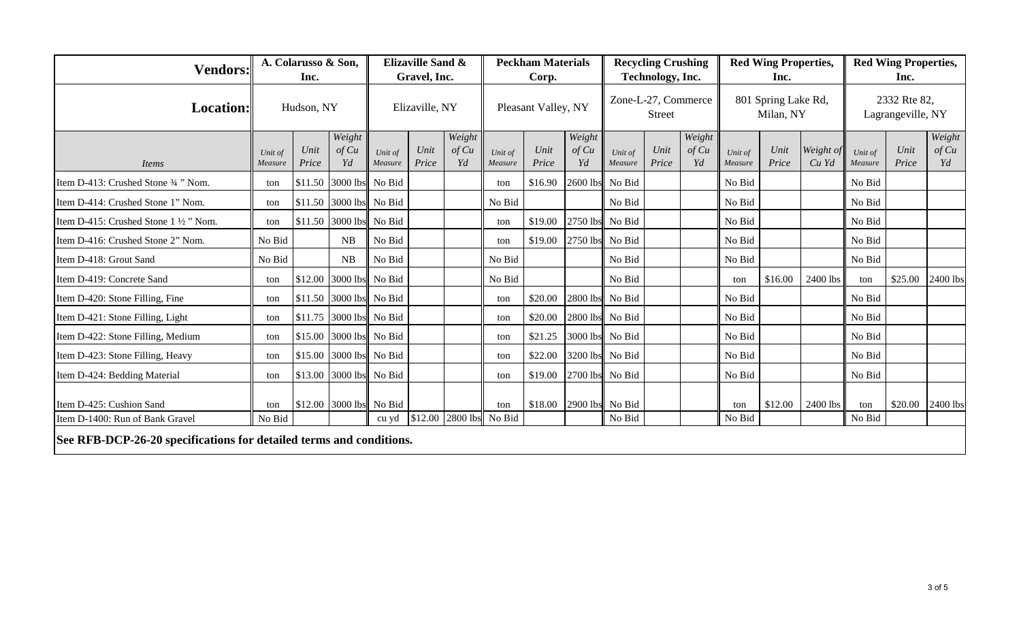| <b>Vendors:</b>                                                                                        | A. Colarusso & Son,<br>Inc. |         |                         | <b>Elizaville Sand &amp;</b><br>Gravel, Inc. |         |                     | <b>Peckham Materials</b><br>Corp. |         |                                      | <b>Recycling Crushing</b><br>Technology, Inc. |       |                                  | <b>Red Wing Properties,</b><br>Inc. |         |                                   | <b>Red Wing Properties,</b><br>Inc. |                   |                 |
|--------------------------------------------------------------------------------------------------------|-----------------------------|---------|-------------------------|----------------------------------------------|---------|---------------------|-----------------------------------|---------|--------------------------------------|-----------------------------------------------|-------|----------------------------------|-------------------------------------|---------|-----------------------------------|-------------------------------------|-------------------|-----------------|
| <b>Location:</b>                                                                                       | Hudson, NY                  |         | Elizaville, NY          |                                              |         | Pleasant Valley, NY |                                   |         | Zone-L-27, Commerce<br><b>Street</b> |                                               |       | 801 Spring Lake Rd,<br>Milan, NY |                                     |         | 2332 Rte 82,<br>Lagrangeville, NY |                                     |                   |                 |
|                                                                                                        |                             | Unit    | Weight<br>of Cu         | Unit of                                      | Unit    | Weight<br>of Cu     | Unit of                           | Unit    | Weight<br>of Cu                      | Unit of                                       | Unit  | Weight<br>of Cu                  | Unit of                             | Unit    | Weight of                         | Unit of                             | Unit              | Weight<br>of Cu |
| Items                                                                                                  | Unit of<br>Measure          | Price   | Yd                      | Measure                                      | Price   | Yd                  | Measure                           | Price   | Yd                                   | Measure                                       | Price | Yd                               | Measure                             | Price   | Cu Yd                             | Measure                             | Price             | Yd              |
| Item D-413: Crushed Stone 3/4 " Nom.                                                                   | ton                         |         | \$11.50 3000 lbs No Bid |                                              |         |                     | ton                               | \$16.90 | 2600 lbs No Bid                      |                                               |       |                                  | No Bid                              |         |                                   | No Bid                              |                   |                 |
| Item D-414: Crushed Stone 1" Nom.                                                                      | ton                         |         | \$11.50 3000 lbs No Bid |                                              |         |                     | No Bid                            |         |                                      | No Bid                                        |       |                                  | No Bid                              |         |                                   | No Bid                              |                   |                 |
| Item D-415: Crushed Stone 1 1/2 " Nom.                                                                 | ton                         |         | \$11.50 3000 lbs No Bid |                                              |         |                     | ton                               | \$19.00 | 2750 lbs No Bid                      |                                               |       |                                  | No Bid                              |         |                                   | No Bid                              |                   |                 |
| Item D-416: Crushed Stone 2" Nom.                                                                      | No Bid                      |         | NB                      | No Bid                                       |         |                     | ton                               | \$19.00 | 2750 lbs No Bid                      |                                               |       |                                  | No Bid                              |         |                                   | No Bid                              |                   |                 |
| Item D-418: Grout Sand                                                                                 | No Bid                      |         | NB                      | No Bid                                       |         |                     | No Bid                            |         |                                      | No Bid                                        |       |                                  | No Bid                              |         |                                   | No Bid                              |                   |                 |
| Item D-419: Concrete Sand                                                                              | ton                         |         | \$12.00 3000 lbs No Bid |                                              |         |                     | No Bid                            |         |                                      | No Bid                                        |       |                                  | ton                                 | \$16.00 | 2400 lbs                          | ton                                 | \$25.00           | 2400 lbs        |
| Item D-420: Stone Filling, Fine                                                                        | ton                         |         | \$11.50 3000 lbs No Bid |                                              |         |                     | ton                               | \$20.00 | 2800 lbs No Bid                      |                                               |       |                                  | No Bid                              |         |                                   | No Bid                              |                   |                 |
| Item D-421: Stone Filling, Light                                                                       | ton                         | \$11.75 | 3000 lbs No Bid         |                                              |         |                     | ton                               | \$20.00 | 2800 lbs No Bid                      |                                               |       |                                  | No Bid                              |         |                                   | No Bid                              |                   |                 |
| Item D-422: Stone Filling, Medium                                                                      | ton                         |         | \$15.00 3000 lbs No Bid |                                              |         |                     | ton                               | \$21.25 | 3000 lbs No Bid                      |                                               |       |                                  | No Bid                              |         |                                   | No Bid                              |                   |                 |
| Item D-423: Stone Filling, Heavy                                                                       | ton                         |         | \$15.00 3000 lbs No Bid |                                              |         |                     | ton                               | \$22.00 | 3200 lbs No Bid                      |                                               |       |                                  | No Bid                              |         |                                   | No Bid                              |                   |                 |
| Item D-424: Bedding Material                                                                           | ton                         | \$13.00 | 3000 lbs No Bid         |                                              |         |                     | ton                               | \$19.00 | 2700 lbs No Bid                      |                                               |       |                                  | No Bid                              |         |                                   | No Bid                              |                   |                 |
| Item D-425: Cushion Sand                                                                               | ton                         |         | \$12.00 3000 lbs No Bid |                                              |         |                     | ton                               | \$18.00 | 2900 lbs No Bid                      |                                               |       |                                  | ton                                 | \$12.00 | 2400 lbs                          | ton                                 | $$20.00$ 2400 lbs |                 |
| Item D-1400: Run of Bank Gravel<br>See RFB-DCP-26-20 specifications for detailed terms and conditions. | No Bid                      |         |                         | cu yd                                        | \$12.00 | 2800 lbs            | No Bid                            |         |                                      | No Bid                                        |       |                                  | No Bid                              |         |                                   | No Bid                              |                   |                 |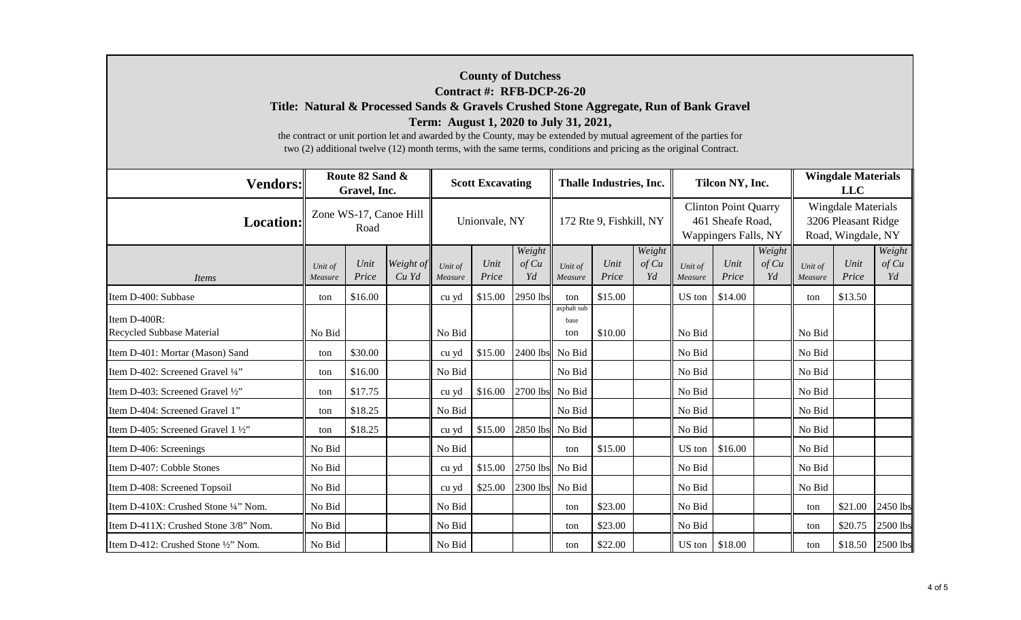## **County of Dutchess Contract #: RFB-DCP-26-20 Title: Natural & Processed Sands & Gravels Crushed Stone Aggregate, Run of Bank Gravel Term: August 1, 2020 to July 31, 2021,**

the contract or unit portion let and awarded by the County, may be extended by mutual agreement of the parties for two (2) additional twelve (12) month terms, with the same terms, conditions and pricing as the original Contract.

| <b>Vendors:</b>                           | Route 82 Sand &<br>Gravel, Inc. |               |                    |                    | <b>Scott Excavating</b> |                       |                            | <b>Thalle Industries, Inc.</b> |                       |                    | Tilcon NY, Inc.                                                         |                       | <b>Wingdale Materials</b><br><b>LLC</b>                                |               |                       |  |
|-------------------------------------------|---------------------------------|---------------|--------------------|--------------------|-------------------------|-----------------------|----------------------------|--------------------------------|-----------------------|--------------------|-------------------------------------------------------------------------|-----------------------|------------------------------------------------------------------------|---------------|-----------------------|--|
| <b>Location:</b>                          | Zone WS-17, Canoe Hill<br>Road  |               |                    | Unionvale, NY      |                         |                       |                            | 172 Rte 9, Fishkill, NY        |                       |                    | <b>Clinton Point Quarry</b><br>461 Sheafe Road,<br>Wappingers Falls, NY |                       | <b>Wingdale Materials</b><br>3206 Pleasant Ridge<br>Road, Wingdale, NY |               |                       |  |
| <i>Items</i>                              | Unit of<br>Measure              | Unit<br>Price | Weight of<br>Cu Yd | Unit of<br>Measure | Unit<br>Price           | Weight<br>of Cu<br>Yd | Unit of<br>Measure         | Unit<br>Price                  | Weight<br>of Cu<br>Yd | Unit of<br>Measure | Unit<br>Price                                                           | Weight<br>of Cu<br>Yd | Unit of<br>Measure                                                     | Unit<br>Price | Weight<br>of Cu<br>Yd |  |
| Item D-400: Subbase                       | ton                             | \$16.00       |                    | cu yd              | \$15.00                 | 2950 lbs              | ton                        | \$15.00                        |                       | US ton             | \$14.00                                                                 |                       | ton                                                                    | \$13.50       |                       |  |
| Item D-400R:<br>Recycled Subbase Material | No Bid                          |               |                    | No Bid             |                         |                       | asphalt sub<br>base<br>ton | \$10.00                        |                       | No Bid             |                                                                         |                       | No Bid                                                                 |               |                       |  |
| Item D-401: Mortar (Mason) Sand           | ton                             | \$30.00       |                    | cu yd              | \$15.00                 | 2400 lbs              | No Bid                     |                                |                       | No Bid             |                                                                         |                       | No Bid                                                                 |               |                       |  |
| Item D-402: Screened Gravel 1/4"          | ton                             | \$16.00       |                    | No Bid             |                         |                       | No Bid                     |                                |                       | No Bid             |                                                                         |                       | No Bid                                                                 |               |                       |  |
| Item D-403: Screened Gravel 1/2"          | ton                             | \$17.75       |                    | cu yd              | \$16.00                 | 2700 lbs              | No Bid                     |                                |                       | No Bid             |                                                                         |                       | No Bid                                                                 |               |                       |  |
| Item D-404: Screened Gravel 1"            | ton                             | \$18.25       |                    | No Bid             |                         |                       | No Bid                     |                                |                       | No Bid             |                                                                         |                       | No Bid                                                                 |               |                       |  |
| Item D-405: Screened Gravel 1 1/2"        | ton                             | \$18.25       |                    | cu yd              | \$15.00                 | 2850 lbs              | No Bid                     |                                |                       | No Bid             |                                                                         |                       | No Bid                                                                 |               |                       |  |
| Item D-406: Screenings                    | No Bid                          |               |                    | No Bid             |                         |                       | ton                        | \$15.00                        |                       | US ton             | \$16.00                                                                 |                       | No Bid                                                                 |               |                       |  |
| Item D-407: Cobble Stones                 | No Bid                          |               |                    | cu yd              | \$15.00                 | 2750 lbs              | No Bid                     |                                |                       | No Bid             |                                                                         |                       | No Bid                                                                 |               |                       |  |
| Item D-408: Screened Topsoil              | No Bid                          |               |                    | cu yd              | \$25.00                 |                       | 2300 lbs No Bid            |                                |                       | No Bid             |                                                                         |                       | No Bid                                                                 |               |                       |  |
| Item D-410X: Crushed Stone 1/4" Nom.      | No Bid                          |               |                    | No Bid             |                         |                       | ton                        | \$23.00                        |                       | No Bid             |                                                                         |                       | ton                                                                    | \$21.00       | 2450 lbs              |  |
| Item D-411X: Crushed Stone 3/8" Nom.      | No Bid                          |               |                    | No Bid             |                         |                       | ton                        | \$23.00                        |                       | No Bid             |                                                                         |                       | ton                                                                    | \$20.75       | 2500 lbs              |  |
| Item D-412: Crushed Stone 1/2" Nom.       | No Bid                          |               |                    | No Bid             |                         |                       | ton                        | \$22.00                        |                       | US ton             | \$18.00                                                                 |                       | ton                                                                    | \$18.50       | 2500 lbs              |  |